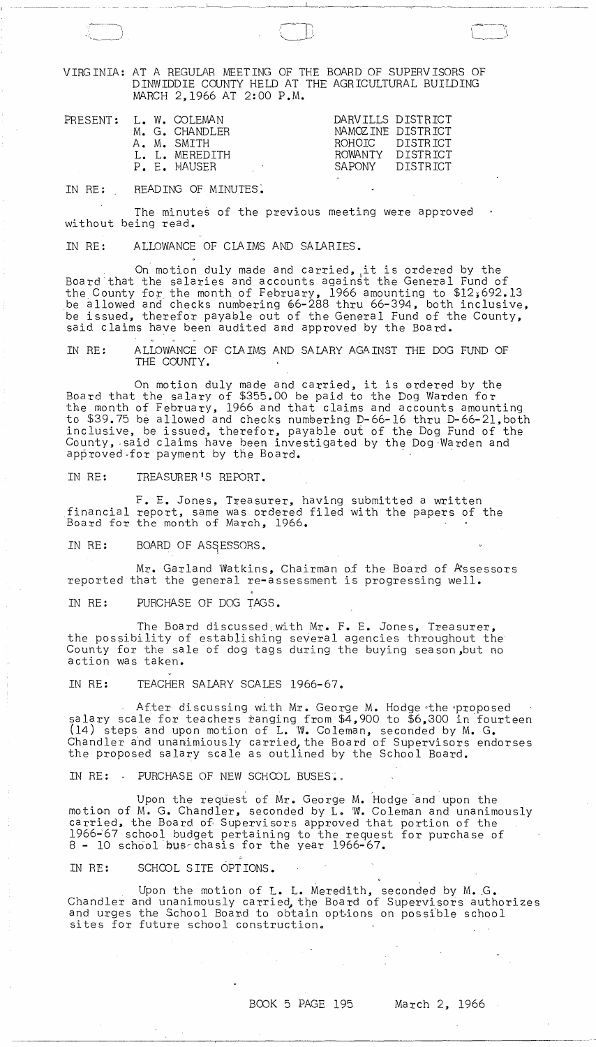VIRGINIA: AT A REGULAR MEETING OF THE BOARD OF SUPERVISORS OF DINWIDDIE COUNTY HELD AT THE AGRICULTURAL BUILDING MARCH 2,1966 AT 2:00 P.M.

\_\_\_ " \_'\_' \_\_\_\_ 1 \_\_\_ ,,\_, \_\_\_\_\_\_ ~ \_\_\_ J'\_\_, \_\_\_ ~ \_\_\_ ~\_

| PRESENT: L. W. COLEMAN<br>M. G. CHANDLER<br>A. M. SMTTH<br>L. L. MEREDITH<br>P. E. HAUSER<br>and the control of the con- | DARVILLS DISTRICT<br>NAMOZINE DISTRICT<br>ROHOTC DISTRICT<br>ROWANTY DISTRICT<br>SAPONY DISTRICT |
|--------------------------------------------------------------------------------------------------------------------------|--------------------------------------------------------------------------------------------------|
|--------------------------------------------------------------------------------------------------------------------------|--------------------------------------------------------------------------------------------------|

IN RE: READING OF MINUTES.

c---~\ "~,-)

The minutes of the previous meeting were approved without being read.

IN RE: ALLOWANCE OF CLAIMS AND SALARIES.

On motion duly made and carried, ,it is ordered by the Board that the salaries and accounts against the General Fund of the County for the month of February, 1966 amounting to \$12;692.13 be allowed and checks numbering 06-288 thru 66-394, both inclusive, be issued, therefor payable out of the General Fund of the County, said claims have been audited and approved by the Board.

IN RE: ALLOWANCE OF CLAIMS AND SALARY AGAINST THE DOG FUND OF THE COUNTY.

On motion duly made and carried, it is erdered by the Board that the salary of \$355.00 be paid to the Dog Warden for the month of February, 1966 and that claims and accounts amounting to \$39.75 be allowed and checks numbering D-66-16 thru D-66-21, both inclusive, be issued, therefor, payable *oui* of the Dog Fund of the County, said claims have been investigated by the Dog Warden and<br>approved for payment by the Board. On motion duly made and carried, it is ordered by t<br>Board that the salary of \$355.00 be paid to the Dog Warden fo<br>the month of February, 1966 and that claims and accounts amouto<br>\$39.75 be allowed and checks numbering D-66-

IN RE: TREASURER'S REPORT.

F. E. Jones, Treasurer, having submitted a written financial report, same was ordered filed with the papers of the Board for the month of March, 1966.

IN RE: BOARD OF ASSESSORS.

Mr. Garland Watkins, Chairman of the Board of Assessors reported that the general re-assessment is progressing well.

IN RE: PURCHASE OF DOG TAGS.

The Board discussed,with Mr. F. E. Jones, Treasurer, the possibility of establishing several agencies throughout the County for the sale of dog tags during the buying season,but no action was taken.

IN RE: TEACHER SALARY SCALES 1966-67.

After discussing with Mr. George M. Hodge the proposed salary scale for teachers ranging from \$4,900 to \$6,300 in fourteen (14) steps and upon motion of L. W. Coleman, seconded by M. G. Chandler and unanimiously carried, the Board of Supervisors endorses the proposed salary scale as outlined by the School Board.

IN RE:  $\cdot$  PURCHASE OF NEW SCHOOL BUSES.

Upon the request of Mr. George M. Hodge and upon the motion of M. G. Chandler, seconded by L. W. Coleman and unanimously carried, the Board of Supervisors approved that portion of the 1966~67 school budget pertaining to the request for purchase of  $8$  - 10 school bus-chasis for the year 1966-67.

IN RE: SCHOOL SITE OPTIONS.

Upon the motion of L. L. Meredith, seconded by M. G. Chandler and unanimously carried, the Board of Supervisors authorizes and urges the School Board to obtain options on possible school sites for future school construction.

## BOOK 5 PAGE 195 March 2, 1966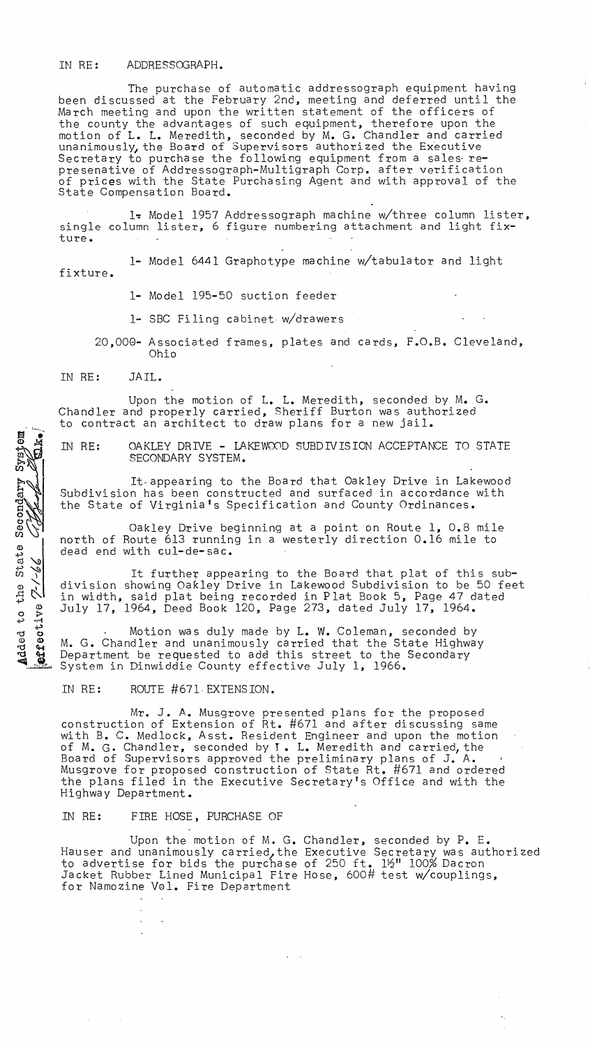## IN RE: ADDRESSOGRAPH.

The purchase of automatic addressograph equipment having been discussed at the February 2nd, meeting and deferred until the March meeting and upon the written statement of the officers of the county the advantages of such equipment, therefore upon the motion of L. L. Meredith, seconded by M. G. Chandler and carried mously, the Board of Supervisors authorized the Executive Secretary to purchase the following equipment from a sales- represenative of Addressograph-Multigraph Corp. after verification of prices with the State Purchasing Agent and with approval of the State Compensation Board.

l~ Model 1957 Addressograph machine w/three column lister, single column lister, 6 figure numbering attachment and light fixture.

1- Model 6441 Graphotype machine w/tabulator and light fixture.

1- Model 195-50 suction feeder

1- SBC Filing cabinet- w/drawers

20,008- Associated frames, plates and cards, F.O.B. Cleveland, Ohio

IN RE: JAIL.

Upon the motion of L. L. Meredith, seconded by M. G. Chandler and properly carried, Sheriff Burton was authorized to contract an architect to draw plans for a new jail.

Added to the State Secondary System

effective

IN RE: OAKLEY DRIVE - LAKEWOOD SUBDIVISION ACCEPTANCE TO STATE SECONDARY SYSTEM.

It·appearing to the Board that Oakley Drive in Lakewood Subdivision has been constructed and surfaced in accordance with the State of Virginia's Specification and County Ordinances.

Oakley Drive beginning at a point on Route 1, 0.8 mile north of Route 613 running in a westerly direction 0.16 mile to dead end with cul-de-sac.

It further appearing to the Board that plat of this subdivision showing Oakley Drive in Lakewood Subdivision to be 50 feet in width, said plat being recorded in Plat Book 5, Page 47 dated July 17, 1964, Deed Book 120, Page 273, dated July 17, 1964.

Motion was duly made by L. W. Coleman, seconded by M. G. Chandler and unanimously carried that the State Highway Department be requested to add this street to the Secondary System in Dinwiddie County effective July 1, 1966.

IN RE: ROUTE #67l-EXTENSION.

Mr. J. A. Musgrove presented plans for the proposed construction of Extension of Rt. #671 and after discussing same with B. C. Medlock, Asst. Resident Engineer and upon the motion with B. C. Mediock, Asst. Resident Engineer and upon the motio<br>of M. G. Chandler, seconded by I. L. Meredith and carried, the Board of Supervisors approved the preliminary plans of J. A. Musgrove for proposed construction of State Rt. #671 and ordered the plans filed in the Executive Secretary's Office and with the Highway Department.

## IN RE: FIRE HOSE, PURCHASE OF

 $\infty$  $\mathcal{L}_{\mathbf{r}}$ 

 $\mathcal{A}(\mathcal{A})$  and  $\mathcal{A}(\mathcal{A})$  and  $\mathcal{A}(\mathcal{A})$ 

Upon the motion of M. G. Chandler, seconded by P. E. Hauser and unanimously carried, the Executive Secretary was authorized to advertise for bids the purchase of 250 ft. 12" 100% Dacron Jacket Rubber Lined Municipal Fire Hose, 600# test w/couplings, for Namozine Vel. Fire Department

 $\mathcal{A}=\mathcal{A}^{\mathrm{c}}$  , and  $\mathcal{A}^{\mathrm{c}}$ 

 $\sim$   $\sim$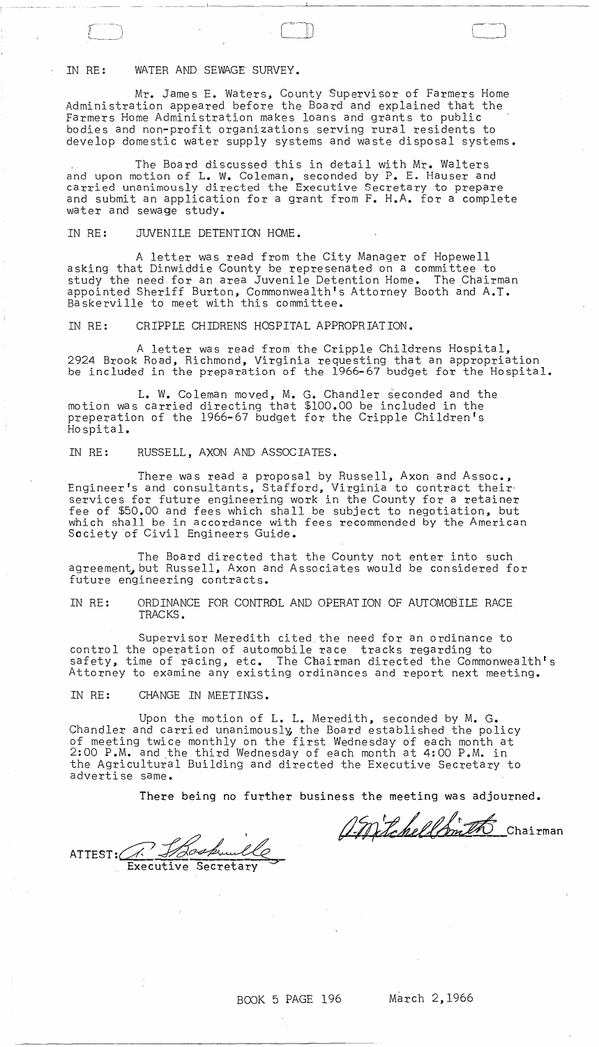## IN RE: WATER AND SEWAGE SURVEY.

\_\_\_\_\_\_\_\_\_\_\_\_\_ J

Mr. James E. Waters, County Supervisor of Farmers Home Administration appeared before the Board and explained that the Farmers Home Administration makes loans and grants to public bodies and non-profit organizations serving rural residents to develop domestic water supply systems and waste disposal systems.

The Board discussed this in detail with Mr. Walters and upon motion of L. W. Coleman, seconded by P. E. Hauser and carried unanimously directed the Executive Secretary to prepare and submit an application for a grant from F. H.A. for a complete water and sewage study.

IN RE: JUVENILE DETENTION HOME.

A letter was read from the City Manager of Hopewell asking that Dinwiddie County be represenated on a committee to study the need for an area Juvenile Detention Home. The Chairman appointed Sheriff Burton, Commonwealth's Attorney Booth and A.T. Baskerville to meet with this committee.

IN RE: CRIPPLE CHIDRENS HOSPITAL APPROPRIATION.

A letter was read from the Cripple Childrens Hospital, 2924 Brook Road, Richmond, Virginia requesting that an appropriation be included in the preparation of the 1966-67 budget for the Hospital.

L. W. Coleman moved, M. G. Chandler seconded and the motion was carried directing that \$100.00 be included in the preperation of the 1966-67 budget for the Cripple Children's Ho spital.

IN RE: RUSSELL, AXON AND ASSOCIATES.

There was read a proposal by Russell, Axon and Assoc., Engineer's and consultants, Stafford, Virginia to contract their' services for future engineering work in the County for a retainer fee of \$50.00 and fees which shall be subject to negotiation, but which shall be in accordance with fees recommended by the American Society of Civil Engineers Guide.

The Board directed that the County not enter into such agreement, but Russell, Axon and Associates would be considered for future engineering contracts.

IN RE: ORDINANCE FOR CONTROL AND OPERATION OF AUTOMOBILE RACE TRACKS.

Supervisor Meredith cited. the need for an ordinance to control the operation of automobile race tracks regarding to safety, time of racing, etc. The Chairman directed the Commonwealth's Attorney to examine any existing ordinances and report next meeting.

IN RE: CHANGE IN MEETINGS.

Upon the motion of L. L. Meredith, seconded by M. G. Chandler and carried unanimously the Board established the policy of meeting twice monthly on the first Wednesday of each month at 2:00 P.M. and the third Wednesday of each month at 4:00 P.M. in the Agricultural Building and directed the Executive Secretary to advertise same.

There being no further business the meeting was adjourned.

Tospullo

March 2, 1966

AntchellSmith

Chairman